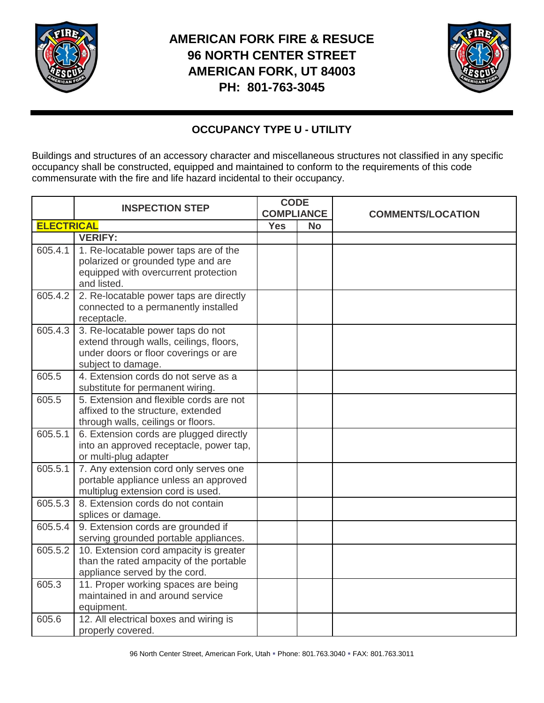

## **AMERICAN FORK FIRE & RESUCE 96 NORTH CENTER STREET AMERICAN FORK, UT 84003 PH: 801-763-3045**



## **OCCUPANCY TYPE U - UTILITY**

Buildings and structures of an accessory character and miscellaneous structures not classified in any specific occupancy shall be constructed, equipped and maintained to conform to the requirements of this code commensurate with the fire and life hazard incidental to their occupancy.

|                   | <b>INSPECTION STEP</b>                                                                                                                      | <b>CODE</b><br><b>COMPLIANCE</b> |           | <b>COMMENTS/LOCATION</b> |
|-------------------|---------------------------------------------------------------------------------------------------------------------------------------------|----------------------------------|-----------|--------------------------|
| <b>ELECTRICAL</b> |                                                                                                                                             | <b>Yes</b>                       | <b>No</b> |                          |
|                   | <b>VERIFY:</b>                                                                                                                              |                                  |           |                          |
| 605.4.1           | 1. Re-locatable power taps are of the<br>polarized or grounded type and are<br>equipped with overcurrent protection<br>and listed.          |                                  |           |                          |
| 605.4.2           | 2. Re-locatable power taps are directly<br>connected to a permanently installed<br>receptacle.                                              |                                  |           |                          |
| 605.4.3           | 3. Re-locatable power taps do not<br>extend through walls, ceilings, floors,<br>under doors or floor coverings or are<br>subject to damage. |                                  |           |                          |
| 605.5             | 4. Extension cords do not serve as a<br>substitute for permanent wiring.                                                                    |                                  |           |                          |
| 605.5             | 5. Extension and flexible cords are not<br>affixed to the structure, extended<br>through walls, ceilings or floors.                         |                                  |           |                          |
| 605.5.1           | 6. Extension cords are plugged directly<br>into an approved receptacle, power tap,<br>or multi-plug adapter                                 |                                  |           |                          |
| 605.5.1           | 7. Any extension cord only serves one<br>portable appliance unless an approved<br>multiplug extension cord is used.                         |                                  |           |                          |
| 605.5.3           | 8. Extension cords do not contain<br>splices or damage.                                                                                     |                                  |           |                          |
| 605.5.4           | 9. Extension cords are grounded if<br>serving grounded portable appliances.                                                                 |                                  |           |                          |
| 605.5.2           | 10. Extension cord ampacity is greater<br>than the rated ampacity of the portable<br>appliance served by the cord.                          |                                  |           |                          |
| 605.3             | 11. Proper working spaces are being<br>maintained in and around service<br>equipment.                                                       |                                  |           |                          |
| 605.6             | 12. All electrical boxes and wiring is<br>properly covered.                                                                                 |                                  |           |                          |